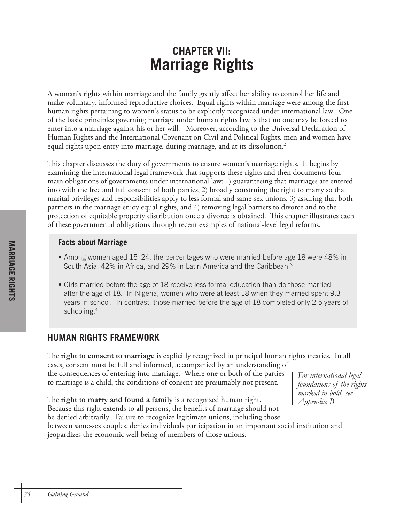# **CHAPTER VII: Marriage Rights**

A woman's rights within marriage and the family greatly affect her ability to control her life and make voluntary, informed reproductive choices. Equal rights within marriage were among the first human rights pertaining to women's status to be explicitly recognized under international law. One of the basic principles governing marriage under human rights law is that no one may be forced to enter into a marriage against his or her will. 1 Moreover, according to the Universal Declaration of Human Rights and the International Covenant on Civil and Political Rights, men and women have equal rights upon entry into marriage, during marriage, and at its dissolution. 2

This chapter discusses the duty of governments to ensure women's marriage rights. It begins by examining the international legal framework that supports these rights and then documents four main obligations of governments under international law: 1) guaranteeing that marriages are entered into with the free and full consent of both parties, 2) broadly construing the right to marry so that marital privileges and responsibilities apply to less formal and same-sex unions, 3) assuring that both partners in the marriage enjoy equal rights, and 4) removing legal barriers to divorce and to the protection of equitable property distribution once a divorce is obtained. This chapter illustrates each of these governmental obligations through recent examples of national-level legal reforms.

### **Facts about Marriage**

- Among women aged 15–24, the percentages who were married before age 18 were 48% in South Asia, 42% in Africa, and 29% in Latin America and the Caribbean.<sup>3</sup>
- Girls married before the age of 18 receive less formal education than do those married after the age of 18. In Nigeria, women who were at least 18 when they married spent 9.3 years in school. In contrast, those married before the age of 18 completed only 2.5 years of schooling.4

# **HUMAN RIGHTS FRAMEWORK**

The **right to consent to marriage** is explicitly recognized in principal human rights treaties. In all cases, consent must be full and informed, accompanied by an understanding of the consequences of entering into marriage. Where one or both of the parties to marriage is a child, the conditions of consent are presumably not present.

*For international legal foundations of the rights marked in bold, see Appendix B*

The **right to marry and found a family** is a recognized human right. Because this right extends to all persons, the benefits of marriage should not be denied arbitrarily. Failure to recognize legitimate unions, including those between same-sex couples, denies individuals participation in an important social institution and jeopardizes the economic well-being of members of those unions.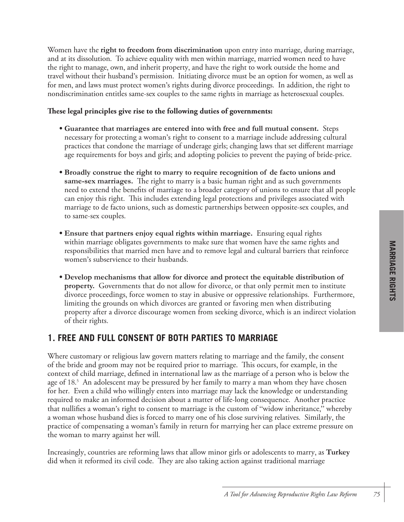Women have the **right to freedom from discrimination** upon entry into marriage, during marriage, and at its dissolution. To achieve equality with men within marriage, married women need to have the right to manage, own, and inherit property, and have the right to work outside the home and travel without their husband's permission. Initiating divorce must be an option for women, as well as for men, and laws must protect women's rights during divorce proceedings. In addition, the right to nondiscrimination entitles same-sex couples to the same rights in marriage as heterosexual couples.

### **These legal principles give rise to the following duties of governments:**

- **Guarantee that marriages are entered into with free and full mutual consent.** Steps necessary for protecting a woman's right to consent to a marriage include addressing cultural practices that condone the marriage of underage girls; changing laws that set different marriage age requirements for boys and girls; and adopting policies to prevent the paying of bride-price.
- **Broadly construe the right to marry to require recognition of de facto unions and same-sex marriages.** The right to marry is a basic human right and as such governments need to extend the benefits of marriage to a broader category of unions to ensure that all people can enjoy this right. This includes extending legal protections and privileges associated with marriage to de facto unions, such as domestic partnerships between opposite-sex couples, and to same-sex couples.
- **Ensure that partners enjoy equal rights within marriage.** Ensuring equal rights within marriage obligates governments to make sure that women have the same rights and responsibilities that married men have and to remove legal and cultural barriers that reinforce women's subservience to their husbands.
- **Develop mechanisms that allow for divorce and protect the equitable distribution of property.** Governments that do not allow for divorce, or that only permit men to institute divorce proceedings, force women to stay in abusive or oppressive relationships. Furthermore, limiting the grounds on which divorces are granted or favoring men when distributing property after a divorce discourage women from seeking divorce, which is an indirect violation of their rights.

# **1. FREE AND FULL CONSENT OF BOTH PARTIES TO MARRIAGE**

Where customary or religious law govern matters relating to marriage and the family, the consent of the bride and groom may not be required prior to marriage. This occurs, for example, in the context of child marriage, defined in international law as the marriage of a person who is below the age of 18.<sup>5</sup> An adolescent may be pressured by her family to marry a man whom they have chosen for her. Even a child who willingly enters into marriage may lack the knowledge or understanding required to make an informed decision about a matter of life-long consequence. Another practice that nullifies a woman's right to consent to marriage is the custom of "widow inheritance," whereby a woman whose husband dies is forced to marry one of his close surviving relatives. Similarly, the practice of compensating a woman's family in return for marrying her can place extreme pressure on the woman to marry against her will.

Increasingly, countries are reforming laws that allow minor girls or adolescents to marry, as **Turkey** did when it reformed its civil code. They are also taking action against traditional marriage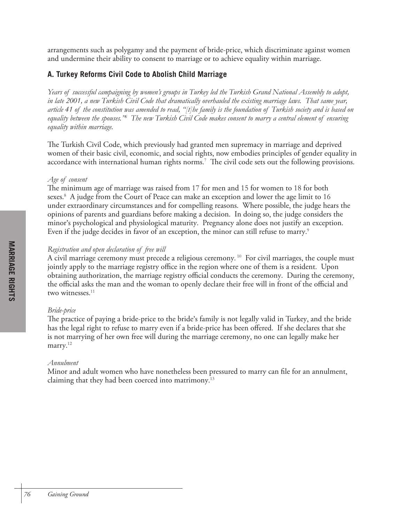arrangements such as polygamy and the payment of bride-price, which discriminate against women and undermine their ability to consent to marriage or to achieve equality within marriage.

### **A. Turkey Reforms Civil Code to Abolish Child Marriage**

*Years of successful campaigning by women's groups in Turkey led the Turkish Grand National Assembly to adopt, in late 2001, a new Turkish Civil Code that dramatically overhauled the existing marriage laws. That same year, article 41 of the constitution was amended to read, "[t]he family is the foundation of Turkish society and is based on equality between the spouses."6 The new Turkish Civil Code makes consent to marry a central element of ensuring equality within marriage.* 

The Turkish Civil Code, which previously had granted men supremacy in marriage and deprived women of their basic civil, economic, and social rights, now embodies principles of gender equality in accordance with international human rights norms. 7 The civil code sets out the following provisions.

#### *Age of consent*

The minimum age of marriage was raised from 17 for men and 15 for women to 18 for both sexes. 8 A judge from the Court of Peace can make an exception and lower the age limit to 16 under extraordinary circumstances and for compelling reasons. Where possible, the judge hears the opinions of parents and guardians before making a decision. In doing so, the judge considers the minor's psychological and physiological maturity. Pregnancy alone does not justify an exception. Even if the judge decides in favor of an exception, the minor can still refuse to marry.<sup>9</sup>

### *Registration and open declaration of free will*

A civil marriage ceremony must precede a religious ceremony.  $^{\scriptscriptstyle 10}$  For civil marriages, the couple must jointly apply to the marriage registry office in the region where one of them is a resident. Upon obtaining authorization, the marriage registry official conducts the ceremony. During the ceremony, the official asks the man and the woman to openly declare their free will in front of the official and two witnesses.<sup>11</sup>

### *Bride-price*

The practice of paying a bride-price to the bride's family is not legally valid in Turkey, and the bride has the legal right to refuse to marry even if a bride-price has been offered. If she declares that she is not marrying of her own free will during the marriage ceremony, no one can legally make her marry. 12

### *Annulment*

Minor and adult women who have nonetheless been pressured to marry can file for an annulment, claiming that they had been coerced into matrimony. 13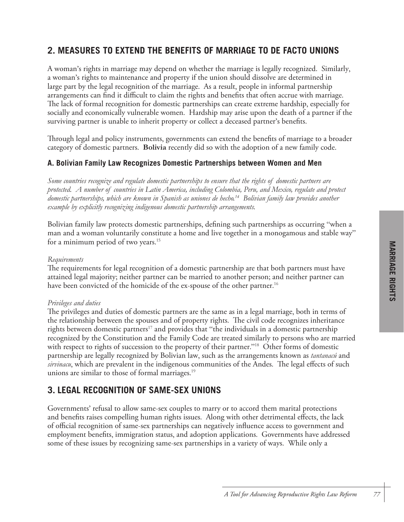# **2. MEASURES TO EXTEND THE BENEFITS OF MARRIAGE TO DE FACTO UNIONS**

A woman's rights in marriage may depend on whether the marriage is legally recognized. Similarly, a woman's rights to maintenance and property if the union should dissolve are determined in large part by the legal recognition of the marriage. As a result, people in informal partnership arrangements can find it difficult to claim the rights and benefits that often accrue with marriage. The lack of formal recognition for domestic partnerships can create extreme hardship, especially for socially and economically vulnerable women. Hardship may arise upon the death of a partner if the surviving partner is unable to inherit property or collect a deceased partner's benefits.

Through legal and policy instruments, governments can extend the benefits of marriage to a broader category of domestic partners. **Bolivia** recently did so with the adoption of a new family code.

### **A. Bolivian Family Law Recognizes Domestic Partnerships between Women and Men**

*Some countries recognize and regulate domestic partnerships to ensure that the rights of domestic partners are protected. A number of countries in Latin America, including Colombia, Peru, and Mexico, regulate and protect domestic partnerships, which are known in Spanish as uniones de hecho. 14 Bolivian family law provides another example by explicitly recognizing indigenous domestic partnership arrangements.*

Bolivian family law protects domestic partnerships, defining such partnerships as occurring "when a man and a woman voluntarily constitute a home and live together in a monogamous and stable way" for a minimum period of two years. 15

#### *Requirements*

The requirements for legal recognition of a domestic partnership are that both partners must have attained legal majority; neither partner can be married to another person; and neither partner can have been convicted of the homicide of the ex-spouse of the other partner. 16

#### *Privileges and duties*

The privileges and duties of domestic partners are the same as in a legal marriage, both in terms of the relationship between the spouses and of property rights. The civil code recognizes inheritance rights between domestic partners<sup>17</sup> and provides that "the individuals in a domestic partnership recognized by the Constitution and the Family Code are treated similarly to persons who are married with respect to rights of succession to the property of their partner."<sup>18</sup> Other forms of domestic partnership are legally recognized by Bolivian law, such as the arrangements known as *tantanacú* and *sirvinacu*, which are prevalent in the indigenous communities of the Andes. The legal effects of such unions are similar to those of formal marriages. 19

### **3. LEGAL RECOGNITION OF SAME-SEX UNIONS**

Governments' refusal to allow same-sex couples to marry or to accord them marital protections and benefits raises compelling human rights issues. Along with other detrimental effects, the lack of official recognition of same-sex partnerships can negatively influence access to government and employment benefits, immigration status, and adoption applications. Governments have addressed some of these issues by recognizing same-sex partnerships in a variety of ways. While only a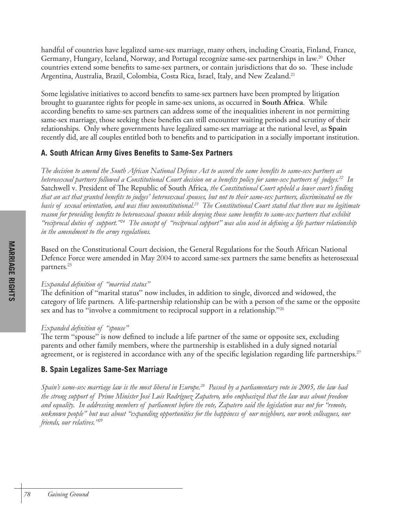handful of countries have legalized same-sex marriage, many others, including Croatia, Finland, France, Germany, Hungary, Iceland, Norway, and Portugal recognize same-sex partnerships in law.<sup>20</sup> Other countries extend some benefits to same-sex partners, or contain jurisdictions that do so. These include Argentina, Australia, Brazil, Colombia, Costa Rica, Israel, Italy, and New Zealand. 21

Some legislative initiatives to accord benefits to same-sex partners have been prompted by litigation brought to guarantee rights for people in same-sex unions, as occurred in **South Africa**. While according benefits to same-sex partners can address some of the inequalities inherent in not permitting same-sex marriage, those seeking these benefits can still encounter waiting periods and scrutiny of their relationships. Only where governments have legalized same-sex marriage at the national level, as **Spain** recently did, are all couples entitled both to benefits and to participation in a socially important institution.

### **A. South African Army Gives Benefits to Same-Sex Partners**

*The decision to amend the South African National Defence Act to accord the same benefits to same-sex partners as heterosexual partners followed a Constitutional Court decision on a benefits policy for same-sex partners of judges.22 In*  Satchwell v. President of The Republic of South Africa*, the Constitutional Court upheld a lower court's finding that an act that granted benefits to judges' heterosexual spouses, but not to their same-sex partners, discriminated on the basis of sexual orientation, and was thus unconstitutional.23 The Constitutional Court stated that there was no legitimate reason for providing benefits to heterosexual spouses while denying those same benefits to same-sex partners that exhibit "reciprocal duties of support."24 The concept of "reciprocal support" was also used in defining a life partner relationship in the amendment to the army regulations.*

Based on the Constitutional Court decision, the General Regulations for the South African National Defence Force were amended in May 2004 to accord same-sex partners the same benefits as heterosexual partners. 25

### *Expanded definition of "married status"*

The definition of "marital status" now includes, in addition to single, divorced and widowed, the category of life partners. A life-partnership relationship can be with a person of the same or the opposite sex and has to "involve a commitment to reciprocal support in a relationship."<sup>26</sup>

### *Expanded definition of "spouse"*

The term "spouse" is now defined to include a life partner of the same or opposite sex, excluding parents and other family members, where the partnership is established in a duly signed notarial agreement, or is registered in accordance with any of the specific legislation regarding life partnerships.<sup>27</sup>

### **B. Spain Legalizes Same-Sex Marriage**

*Spain's same-sex marriage law is the most liberal in Europe.28 Passed by a parliamentary vote in 2005, the law had the strong support of Prime Minister José Luis Rodríguez Zapatero, who emphasized that the law was about freedom and equality. In addressing members of parliament before the vote, Zapatero said the legislation was not for "remote, unknown people" but was about "expanding opportunities for the happiness of our neighbors, our work colleagues, our friends, our relatives."29*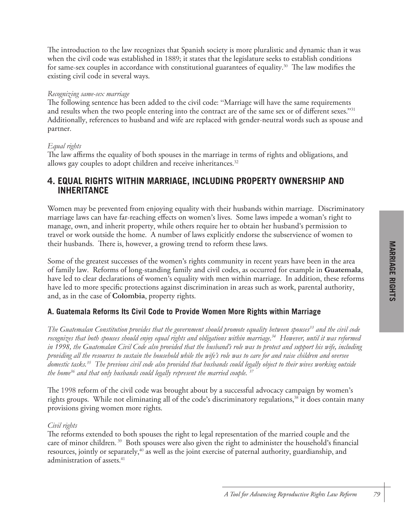The introduction to the law recognizes that Spanish society is more pluralistic and dynamic than it was when the civil code was established in 1889; it states that the legislature seeks to establish conditions for same-sex couples in accordance with constitutional guarantees of equality. $^{30}$   $\,$  The law modifies the existing civil code in several ways.

#### *Recognizing same-sex marriage*

The following sentence has been added to the civil code: "Marriage will have the same requirements and results when the two people entering into the contract are of the same sex or of different sexes."<sup>31</sup> Additionally, references to husband and wife are replaced with gender-neutral words such as spouse and partner.

### *Equal rights*

The law affirms the equality of both spouses in the marriage in terms of rights and obligations, and allows gay couples to adopt children and receive inheritances. 32

### **4. EQUAL RIGHTS WITHIN MARRIAGE, INCLUDING PROPERTY OWNERSHIP AND INHERITANCE**

Women may be prevented from enjoying equality with their husbands within marriage. Discriminatory marriage laws can have far-reaching effects on women's lives. Some laws impede a woman's right to manage, own, and inherit property, while others require her to obtain her husband's permission to travel or work outside the home. A number of laws explicitly endorse the subservience of women to their husbands. There is, however, a growing trend to reform these laws.

Some of the greatest successes of the women's rights community in recent years have been in the area of family law. Reforms of long-standing family and civil codes, as occurred for example in **Guatemala**, have led to clear declarations of women's equality with men within marriage. In addition, these reforms have led to more specific protections against discrimination in areas such as work, parental authority, and, as in the case of **Colombia**, property rights.

### **A. Guatemala Reforms Its Civil Code to Provide Women More Rights within Marriage**

The Guatemalan Constitution provides that the government should promote equality between spouses<sup>33</sup> and the civil code *recognizes that both spouses should enjoy equal rights and obligations within marriage.34 However, until it was reformed in 1998, the Guatemalan Civil Code also provided that the husband's role was to protect and support his wife, including providing all the resources to sustain the household while the wife's role was to care for and raise children and oversee domestic tasks.35 The previous civil code also provided that husbands could legally object to their wives working outside the home36 and that only husbands could legally represent the married couple. 37*

The 1998 reform of the civil code was brought about by a successful advocacy campaign by women's rights groups. While not eliminating all of the code's discriminatory regulations, <sup>38</sup> it does contain many provisions giving women more rights.

### *Civil rights*

The reforms extended to both spouses the right to legal representation of the married couple and the care of minor children.<sup>39</sup> Both spouses were also given the right to administer the household's financial resources, jointly or separately, <sup>40</sup> as well as the joint exercise of paternal authority, guardianship, and administration of assets. 41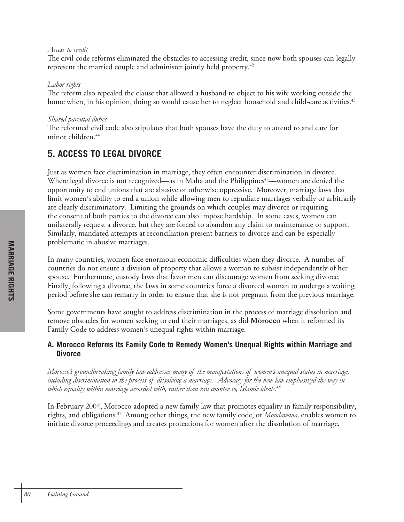#### *Access to credit*

The civil code reforms eliminated the obstacles to accessing credit, since now both spouses can legally represent the married couple and administer jointly held property. 42

### *Labor rights*

The reform also repealed the clause that allowed a husband to object to his wife working outside the home when, in his opinion, doing so would cause her to neglect household and child-care activities.<sup>43</sup>

### *Shared parental duties*

The reformed civil code also stipulates that both spouses have the duty to attend to and care for minor children.<sup>44</sup>

# **5. ACCESS TO LEGAL DIVORCE**

Just as women face discrimination in marriage, they often encounter discrimination in divorce. Where legal divorce is not recognized—as in Malta and the Philippines<sup>45</sup>—women are denied the opportunity to end unions that are abusive or otherwise oppressive. Moreover, marriage laws that limit women's ability to end a union while allowing men to repudiate marriages verbally or arbitrarily are clearly discriminatory. Limiting the grounds on which couples may divorce or requiring the consent of both parties to the divorce can also impose hardship. In some cases, women can unilaterally request a divorce, but they are forced to abandon any claim to maintenance or support. Similarly, mandated attempts at reconciliation present barriers to divorce and can be especially problematic in abusive marriages.

In many countries, women face enormous economic difficulties when they divorce. A number of countries do not ensure a division of property that allows a woman to subsist independently of her spouse. Furthermore, custody laws that favor men can discourage women from seeking divorce. Finally, following a divorce, the laws in some countries force a divorced woman to undergo a waiting period before she can remarry in order to ensure that she is not pregnant from the previous marriage.

Some governments have sought to address discrimination in the process of marriage dissolution and remove obstacles for women seeking to end their marriages, as did **Morocco** when it reformed its Family Code to address women's unequal rights within marriage.

### **A. Morocco Reforms Its Family Code to Remedy Women's Unequal Rights within Marriage and Divorce**

*Morocco's groundbreaking family law addresses many of the manifestations of women's unequal status in marriage, including discrimination in the process of dissolving a marriage. Advocacy for the new law emphasized the way in which equality within marriage accorded with, rather than ran counter to, Islamic ideals.46*

In February 2004, Morocco adopted a new family law that promotes equality in family responsibility, rights, and obligations. 47 Among other things, the new family code, or *Moudawana,* enables women to initiate divorce proceedings and creates protections for women after the dissolution of marriage.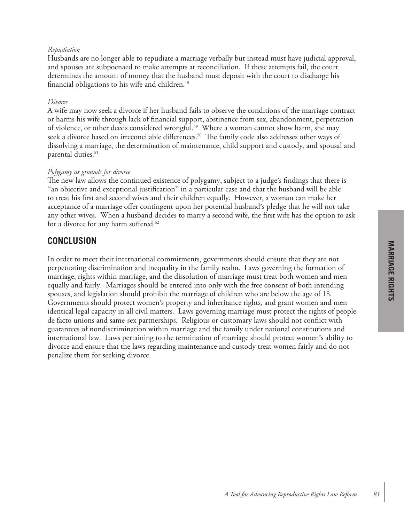### *Repudiation*

Husbands are no longer able to repudiate a marriage verbally but instead must have judicial approval, and spouses are subpoenaed to make attempts at reconciliation. If these attempts fail, the court determines the amount of money that the husband must deposit with the court to discharge his financial obligations to his wife and children. 48

#### *Divorce*

A wife may now seek a divorce if her husband fails to observe the conditions of the marriage contract or harms his wife through lack of financial support, abstinence from sex, abandonment, perpetration of violence, or other deeds considered wrongful. 49 Where a woman cannot show harm, she may seek a divorce based on irreconcilable differences. 50 The family code also addresses other ways of dissolving a marriage, the determination of maintenance, child support and custody, and spousal and parental duties. 51

### *Polygamy as grounds for divorce*

The new law allows the continued existence of polygamy, subject to a judge's findings that there is "an objective and exceptional justification" in a particular case and that the husband will be able to treat his first and second wives and their children equally. However, a woman can make her acceptance of a marriage offer contingent upon her potential husband's pledge that he will not take any other wives. When a husband decides to marry a second wife, the first wife has the option to ask for a divorce for any harm suffered.<sup>52</sup>

### **CONCLUSION**

In order to meet their international commitments, governments should ensure that they are not perpetuating discrimination and inequality in the family realm. Laws governing the formation of marriage, rights within marriage, and the dissolution of marriage must treat both women and men equally and fairly. Marriages should be entered into only with the free consent of both intending spouses, and legislation should prohibit the marriage of children who are below the age of 18. Governments should protect women's property and inheritance rights, and grant women and men identical legal capacity in all civil matters. Laws governing marriage must protect the rights of people de facto unions and same-sex partnerships. Religious or customary laws should not conflict with guarantees of nondiscrimination within marriage and the family under national constitutions and international law. Laws pertaining to the termination of marriage should protect women's ability to divorce and ensure that the laws regarding maintenance and custody treat women fairly and do not penalize them for seeking divorce.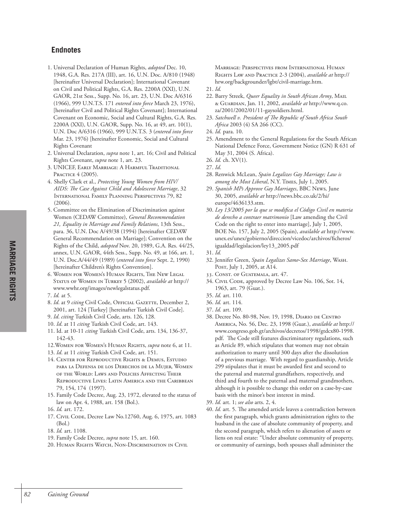### **Endnotes**

- 1. Universal Declaration of Human Rights, *adopted* Dec. 10, 1948, G.A. Res. 217A (III), art. 16, U.N. Doc. A/810 (1948) [hereinafter Universal Declaration]; International Covenant on Civil and Political Rights, G.A. Res. 2200A (XXI), U.N. GAOR, 21st Sess., Supp. No. 16, art. 23, U.N. Doc A/6316 (1966), 999 U.N.T.S. 171 *entered into force* March 23, 1976), [hereinafter Civil and Political Rights Covenant]; International Covenant on Economic, Social and Cultural Rights, G.A. Res. 2200A (XXI), U.N. GAOR, Supp. No. 16, at 49, art. 10(1), U.N. Doc A/6316 (1966), 999 U.N.T.S. 3 (*entered into force* Mar. 23, 1976) [hereinafter Economic, Social and Cultural Rights Covenant
- 2. Universal Declaration, *supra* note 1, art. 16; Civil and Political Rights Covenant, *supra* note 1, art. 23.
- 3. UNICEF, EARLY MARRIAGE: A HARMFUL TRADITIONAL PRACTICE 4 (2005).
- 4. Shelly Clark et al., *Protecting Young Women from HIV/ AIDS: The Case Against Child and Adolescent Marriage*, 32 INTERNATIONAL FAMILY PLANNING PERSPECTIVES 79, 82  $(2006)$ .
- 5. Committee on the Elimination of Discrimination against Women (CEDAW Committee), *General Recommendation 21, Equality in Marriage and Family Relations*, 13th Sess., para. 36, U.N. Doc A/49/38 (1994) [hereinafter CEDAW General Recommendation on Marriage]; Convention on the Rights of the Child, *adopted* Nov. 20, 1989, G.A. Res. 44/25, annex, U.N. GAOR, 44th Sess., Supp. No. 49, at 166, art. 1, U.N. Doc.A/44/49 (1989) (*entered into force* Sept. 2, 1990) [hereinafter Children's Rights Convention].
- 6. WOMEN FOR WOMEN'S HUMAN RIGHTS, THE NEW LEGAL STATUS OF WOMEN IN TURKEY 5 (2002), *available at* http:// www.wwhr.org/images/newlegalstatus.pdf.
- 7. *Id.* at 5.
- 8. *Id*. at 9 *citing* Civil Code, OFFICIAL GAZETTE, December 2, 2001, art. 124 [Turkey] [hereinafter Turkish Civil Code].
- 9. *Id*. *citing* Turkish Civil Code, arts. 126, 128.
- 10. *Id*. at 11 *citing* Turkish Civil Code, art. 143.
- 11. Id. at 10-11 *citing* Turkish Civil Code, arts. 134, 136-37, 142-43.
- 12.WOMEN FOR WOMEN'S HUMAN RIGHTS, *supra* note 6, at 11.
- 13. *Id*. at 11 *citing* Turkish Civil Code, art. 151.
- 14. CENTER FOR REPRODUCTIVE RIGHTS & DEMUS, ESTUDIO PARA LA DEFENSA DE LOS DERECHOS DE LA MUJER, WOMEN OF THE WORLD: LAWS AND POLICIES AFFECTING THEIR REPRODUCTIVE LIVES: LATIN AMERICA AND THE CARIBBEAN 79, 154, 174 (1997).
- 15. Family Code Decree, Aug. 23, 1972, elevated to the status of law on Apr. 4, 1988, art. 158 (Bol.).
- 16. *Id.* art. 172.
- 17. CIVIL CODE, Decree Law No.12760, Aug. 6, 1975, art. 1083 (Bol.)
- 18. *Id.* art. 1108.
- 19. Family Code Decree, *supra* note 15, art. 160.
- 20. HUMAN RIGHTS WATCH, NON-DISCRIMINATION IN CIVIL

MARRIAGE: PERSPECTIVES FROM INTERNATIONAL HUMAN RIGHTS LAW AND PRACTICE 2-3 (2004), *available at* http:// hrw.org/backgrounder/lgbt/civil-marriage.htm.

- 21. *Id.*
- 22. Barry Streek, *Queer Equality in South African Army*, MAIL & GUARDIAN, Jan. 11, 2002, *available at* http://www.q.co. za/2001/2002/01/11-gaysoldiers.html.
- 23. *Satchwell v. President of The Republic of South Africa South Africa* 2003 (4) SA 266 (CC).
- 24. *Id.* para. 10.
- 25. Amendment to the General Regulations for the South African National Defence Force, Government Notice (GN) R 631 of May 31, 2004 (S. Africa).
- 26. *Id.* ch. XV(1).
- 27. *Id*.
- 28. Renwick McLean, *Spain Legalizes Gay Marriage; Law is among the Most Liberal*, N.Y. TIMES, July 1, 2005.
- 29. *Spanish MPs Approve Gay Marriages*, BBC NEWS*,* June 30, 2005, *available at* http://news.bbc.co.uk/2/hi/ europe/4636133.stm.
- 30. *Ley 13/2005 por la que se modifica el Código Civil en materia de derecho a contraer matrimonio* [Law amending the Civil Code on the right to enter into marriage], July 1, 2005, BOE No. 157, July 2, 2005 (Spain), *available at* http://www. unex.es/unex/gobierno/direccion/vicedoc/archivos/ficheros/ igualdad/legislacion/ley13\_2005.pdf
- 31. *Id.*
- 32. Jennifer Green, *Spain Legalizes Same-Sex Marriage*, WASH. POST, July 1, 2005, at A14.
- 33. CONST. OF GUATEMALA, art. 47.
- 34. CIVIL CODE, approved by Decree Law No. 106, Sot. 14, 1963, art. 79 (Guat.).
- 35. *Id.* art. 110.
- 36. *Id.* art. 114.
- 37. *Id.* art. 109.
- 38. Decree No. 80-98, Nov. 19, 1998, DIARIO DE CENTRO AMERICA, No. 56, Dec. 23, 1998 (Guat.), *available at* http:// www.congreso.gob.gt/archivos/decretos/1998/gtdcx80-1998. pdf. The Code still features discriminatory regulations, such as Article 89, which stipulates that women may not obtain authorization to marry until 300 days after the dissolution of a previous marriage. With regard to guardianship, Article 299 stipulates that it must be awarded first and second to the paternal and maternal grandfathers, respectively, and third and fourth to the paternal and maternal grandmothers, although it is possible to change this order on a case-by-case basis with the minor's best interest in mind.
- 39. *Id.* art. 1; *see also* arts. 2, 4.
- 40. *Id.* art. 5. The amended article leaves a contradiction between the first paragraph, which grants administration rights to the husband in the case of absolute community of property, and the second paragraph, which refers to alienation of assets or liens on real estate: "Under absolute community of property, or community of earnings, both spouses shall administer the